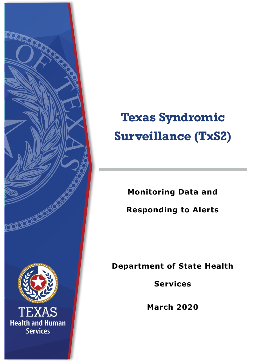

# **Texas Syndromic Surveillance (TxS2)**

**Monitoring Data and** 

**Responding to Alerts**

**Department of State Health** 

**Services**

**March 2020**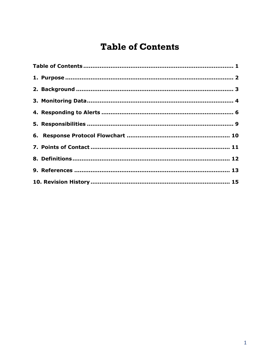# <span id="page-1-0"></span>**Table of Contents**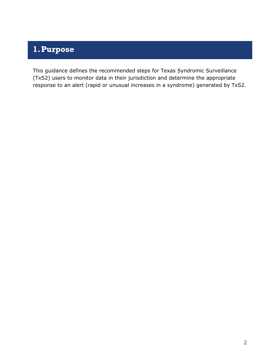#### <span id="page-2-0"></span>**1.Purpose**

This guidance defines the recommended steps for Texas Syndromic Surveillance (TxS2) users to monitor data in their jurisdiction and determine the appropriate response to an alert (rapid or unusual increases in a syndrome) generated by TxS2.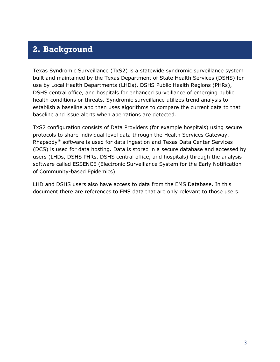#### <span id="page-3-0"></span>**2. Background**

Texas Syndromic Surveillance (TxS2) is a statewide syndromic surveillance system built and maintained by the Texas Department of State Health Services (DSHS) for use by Local Health Departments (LHDs), DSHS Public Health Regions (PHRs), DSHS central office, and hospitals for enhanced surveillance of emerging public health conditions or threats. Syndromic surveillance utilizes trend analysis to establish a baseline and then uses algorithms to compare the current data to that baseline and issue alerts when aberrations are detected.

TxS2 configuration consists of Data Providers (for example hospitals) using secure protocols to share individual level data through the Health Services Gateway. Rhapsody® software is used for data ingestion and Texas Data Center Services (DCS) is used for data hosting. Data is stored in a secure database and accessed by users (LHDs, DSHS PHRs, DSHS central office, and hospitals) through the analysis software called ESSENCE (Electronic Surveillance System for the Early Notification of Community-based Epidemics).

LHD and DSHS users also have access to data from the EMS Database. In this document there are references to EMS data that are only relevant to those users.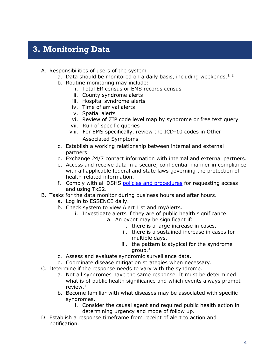## <span id="page-4-0"></span>**3. Monitoring Data**

- A. Responsibilities of users of the system
	- a. Data should be monitored on a daily basis, including weekends.<sup>1, 2</sup>
	- b. Routine monitoring may include:
		- i. Total ER census or EMS records census
		- ii. County syndrome alerts
		- iii. Hospital syndrome alerts
		- iv. Time of arrival alerts
		- v. Spatial alerts
		- vi. Review of ZIP code level map by syndrome or free text query
		- vii. Run of specific queries
		- viii. For EMS specifically, review the ICD-10 codes in Other Associated Symptoms
	- c. Establish a working relationship between internal and external partners.
	- d. Exchange 24/7 contact information with internal and external partners.
	- e. Access and receive data in a secure, confidential manner in compliance with all applicable federal and state laws governing the protection of health-related information.
	- f. Comply with all DSHS [policies and procedures](https://www.dshs.texas.gov/txs2/#Policies) for requesting access and using TxS2.
- B. Tasks for the data monitor during business hours and after hours.
	- a. Log in to ESSENCE daily.
	- b. Check system to view Alert List and myAlerts.
		- i. Investigate alerts if they are of public health significance.
			- a. An event may be significant if:
				- i. there is a large increase in cases.
				- ii. there is a sustained increase in cases for multiple days.
				- iii. the pattern is atypical for the syndrome group.<sup>3</sup>
	- c. Assess and evaluate syndromic surveillance data.
	- d. Coordinate disease mitigation strategies when necessary.
- C. Determine if the response needs to vary with the syndrome.
	- a. Not all syndromes have the same response. It must be determined what is of public health significance and which events always prompt review. $1$
	- b. Become familiar with what diseases may be associated with specific syndromes.
		- i. Consider the causal agent and required public health action in determining urgency and mode of follow up.
- D. Establish a response timeframe from receipt of alert to action and notification.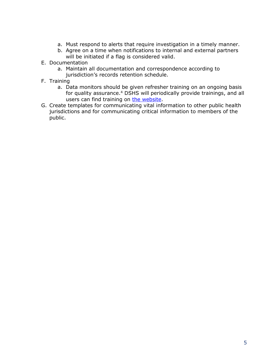- a. Must respond to alerts that require investigation in a timely manner.
- b. Agree on a time when notifications to internal and external partners will be initiated if a flag is considered valid.
- E. Documentation
	- a. Maintain all documentation and correspondence according to jurisdiction's records retention schedule.
- F. Training
	- a. Data monitors should be given refresher training on an ongoing basis for quality assurance.<sup>4</sup> DSHS will periodically provide trainings, and all users can find training on [the website.](https://www.dshs.texas.gov/txs2/#Training)
- G. Create templates for communicating vital information to other public health jurisdictions and for communicating critical information to members of the public.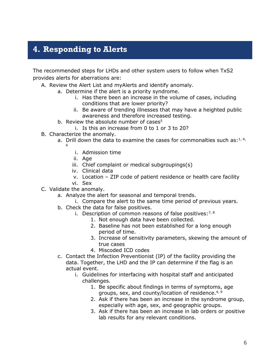## <span id="page-6-0"></span>**4. Responding to Alerts**

The recommended steps for LHDs and other system users to follow when TxS2 provides alerts for aberrations are:

- A. Review the Alert List and myAlerts and identify anomaly.
	- a. Determine if the alert is a priority syndrome.
		- i. Has there been an increase in the volume of cases, including conditions that are lower priority?
		- ii. Be aware of trending illnesses that may have a heighted public awareness and therefore increased testing.
	- b. Review the absolute number of cases<sup>5</sup>
		- i. Is this an increase from 0 to 1 or 3 to 20?
- B. Characterize the anomaly.
	- a. Drill down the data to examine the cases for commonalties such as: $1, 4, 4$ 6
		- i. Admission time
		- ii. Age
		- iii. Chief complaint or medical subgroupings(s)
		- iv. Clinical data
		- v. Location ZIP code of patient residence or health care facility
		- vi. Sex
- C. Validate the anomaly.
	- a. Analyze the alert for seasonal and temporal trends.
		- i. Compare the alert to the same time period of previous years.
	- b. Check the data for false positives.
		- i. Description of common reasons of false positives:  $7, 8$ 
			- 1. Not enough data have been collected.
			- 2. Baseline has not been established for a long enough period of time.
			- 3. Increase of sensitivity parameters, skewing the amount of true cases
			- 4. Miscoded ICD codes
	- c. Contact the Infection Preventionist (IP) of the facility providing the data. Together, the LHD and the IP can determine if the flag is an actual event.
		- i. Guidelines for interfacing with hospital staff and anticipated challenges.
			- 1. Be specific about findings in terms of symptoms, age groups, sex, and county/location of residence.<sup>4, 9</sup>
			- 2. Ask if there has been an increase in the syndrome group, especially with age, sex, and geographic groups.
			- 3. Ask if there has been an increase in lab orders or positive lab results for any relevant conditions.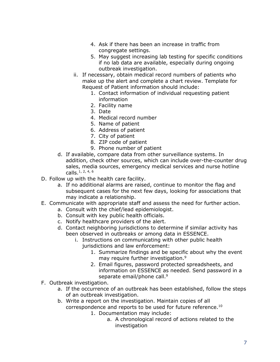- 4. Ask if there has been an increase in traffic from congregate settings.
- 5. May suggest increasing lab testing for specific conditions if no lab data are available, especially during ongoing outbreak investigation.
- ii. If necessary, obtain medical record numbers of patients who make up the alert and complete a chart review. Template for Request of Patient information should include:
	- 1. Contact information of individual requesting patient information
	- 2. Facility name
	- 3. Date
	- 4. Medical record number
	- 5. Name of patient
	- 6. Address of patient
	- 7. City of patient
	- 8. ZIP code of patient
	- 9. Phone number of patient
- d. If available, compare data from other surveillance systems. In addition, check other sources, which can include over-the-counter drug sales, media sources, emergency medical services and nurse hotline calls.1, 2, 4, 6
- D. Follow up with the health care facility.
	- a. If no additional alarms are raised, continue to monitor the flag and subsequent cases for the next few days, looking for associations that may indicate a relationship.
- E. Communicate with appropriate staff and assess the need for further action.
	- a. Consult with the chief/lead epidemiologist.
		- b. Consult with key public health officials.
		- c. Notify healthcare providers of the alert.
		- d. Contact neighboring jurisdictions to determine if similar activity has been observed in outbreaks or among data in ESSENCE.
			- i. Instructions on communicating with other public health jurisdictions and law enforcement:
				- 1. Summarize findings and be specific about why the event may require further investigation.<sup>9</sup>
				- 2. Email figures, password protected spreadsheets, and information on ESSENCE as needed. Send password in a separate email/phone call.<sup>9</sup>
- F. Outbreak investigation.
	- a. If the occurrence of an outbreak has been established, follow the steps of an outbreak investigation.
	- b. Write a report on the investigation. Maintain copies of all correspondence and reports to be used for future reference.<sup>10</sup>
		- 1. Documentation may include:
			- a. A chronological record of actions related to the investigation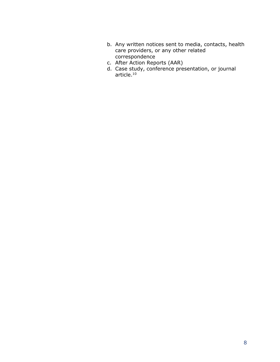- b. Any written notices sent to media, contacts, health care providers, or any other related correspondence
- c. After Action Reports (AAR)
- d. Case study, conference presentation, or journal article.10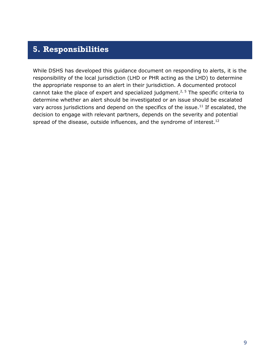#### <span id="page-9-0"></span>**5. Responsibilities**

While DSHS has developed this guidance document on responding to alerts, it is the responsibility of the local jurisdiction (LHD or PHR acting as the LHD) to determine the appropriate response to an alert in their jurisdiction. A documented protocol cannot take the place of expert and specialized judgment.<sup>2, 5</sup> The specific criteria to determine whether an alert should be investigated or an issue should be escalated vary across jurisdictions and depend on the specifics of the issue.<sup>11</sup> If escalated, the decision to engage with relevant partners, depends on the severity and potential spread of the disease, outside influences, and the syndrome of interest.<sup>12</sup>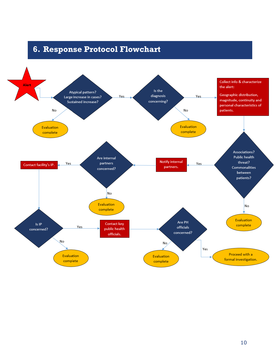## <span id="page-10-0"></span>**6. Response Protocol Flowchart**

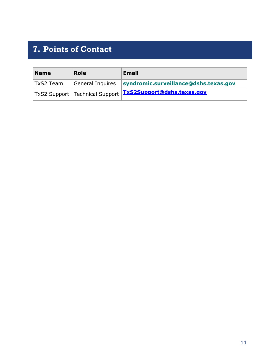# <span id="page-11-0"></span>**7. Points of Contact**

| <b>Name</b> | <b>Role</b>      | <b>Email</b>                                                  |
|-------------|------------------|---------------------------------------------------------------|
| TxS2 Team   | General Inquires | syndromic.surveillance@dshs.texas.gov                         |
|             |                  | TxS2 Support   Technical Support   TxS2Support@dshs.texas.gov |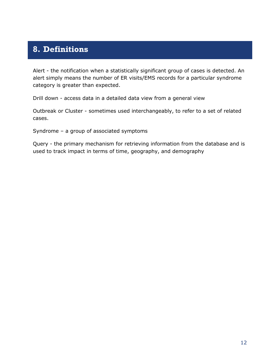## <span id="page-12-0"></span>**8. Definitions**

Alert - the notification when a statistically significant group of cases is detected. An alert simply means the number of ER visits/EMS records for a particular syndrome category is greater than expected.

Drill down - access data in a detailed data view from a general view

Outbreak or Cluster - sometimes used interchangeably, to refer to a set of related cases.

Syndrome – a group of associated symptoms

Query - the primary mechanism for retrieving information from the database and is used to track impact in terms of time, geography, and demography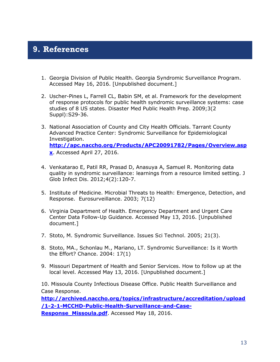#### <span id="page-13-0"></span>**9. References**

- 1. Georgia Division of Public Health. Georgia Syndromic Surveillance Program. Accessed May 16, 2016. [Unpublished document.]
- 2. Uscher-Pines L, Farrell CL, Babin SM, et al. Framework for the development of response protocols for public health syndromic surveillance systems: case studies of 8 US states. Disaster Med Public Health Prep. 2009;3(2 Suppl):S29-36.
- 3. National Association of County and City Health Officials. Tarrant County Advanced Practice Center: Syndromic Surveillance for Epidemiological Investigation. **[http://apc.naccho.org/Products/APC20091782/Pages/Overview.asp](http://apc.naccho.org/Products/APC20091782/Pages/Overview.aspx) [x](http://apc.naccho.org/Products/APC20091782/Pages/Overview.aspx)**. Accessed April 27, 2016.
- 4. Venkatarao E, Patil RR, Prasad D, Anasuya A, Samuel R. Monitoring data quality in syndromic surveillance: learnings from a resource limited setting. J Glob Infect Dis. 2012;4(2):120-7.
- 5. Institute of Medicine. Microbial Threats to Health: Emergence, Detection, and Response. Eurosurveillance. 2003; 7(12)
- 6. Virginia Department of Health. Emergency Department and Urgent Care Center Data Follow-Up Guidance. Accessed May 13, 2016. [Unpublished document.]
- 7. Stoto, M. Syndromic Surveillance. Issues Sci Technol. 2005; 21(3).
- 8. Stoto, MA., Schonlau M., Mariano, LT. Syndromic Surveillance: Is it Worth the Effort? Chance. 2004: 17(1)
- 9. Missouri Department of Health and Senior Services. How to follow up at the local level. Accessed May 13, 2016. [Unpublished document.]

10. Missoula County Infectious Disease Office. Public Health Surveillance and Case Response.

**[http://archived.naccho.org/topics/infrastructure/accreditation/upload](http://archived.naccho.org/topics/infrastructure/accreditation/upload/1-2-1-MCCHD-Public-Health-Surveillance-and-Case-Response_Missoula.pdf) [/1-2-1-MCCHD-Public-Health-Surveillance-and-Case-](http://archived.naccho.org/topics/infrastructure/accreditation/upload/1-2-1-MCCHD-Public-Health-Surveillance-and-Case-Response_Missoula.pdf)**

**[Response\\_Missoula.pdf](http://archived.naccho.org/topics/infrastructure/accreditation/upload/1-2-1-MCCHD-Public-Health-Surveillance-and-Case-Response_Missoula.pdf)**. Accessed May 18, 2016.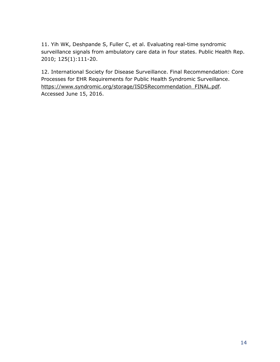11. Yih WK, Deshpande S, Fuller C, et al. Evaluating real-time syndromic surveillance signals from ambulatory care data in four states. Public Health Rep. 2010; 125(1):111-20.

12. International Society for Disease Surveillance. Final Recommendation: Core Processes for EHR Requirements for Public Health Syndromic Surveillance. https://www.syndromic.org/storage/ISDSRecommendation\_FINAL.pdf. Accessed June 15, 2016.